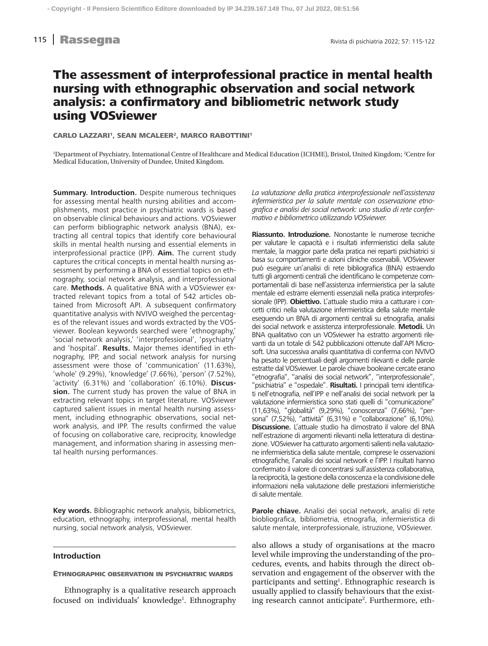# nd 115 **Rassegna** Rivista di psichiatria 2022; 57: 115-122

# The assessment of interprofessional practice in mental health nursing with ethnographic observation and social network analysis: a confirmatory and bibliometric network study using VOSviewer

CARLO LAZZARI<sup>1</sup>, SEAN MCALEER<sup>2</sup>, MARCO RABOTTINI<sup>1</sup>

<sup>1</sup>Department of Psychiatry, International Centre of Healthcare and Medical Education (ICHME), Bristol, United Kingdom; <sup>2</sup>Centre for Medical Education, University of Dundee, United Kingdom.

**Summary. Introduction.** Despite numerous techniques for assessing mental health nursing abilities and accomplishments, most practice in psychiatric wards is based on observable clinical behaviours and actions. VOSviewer can perform bibliographic network analysis (BNA), extracting all central topics that identify core behavioural skills in mental health nursing and essential elements in interprofessional practice (IPP). **Aim.** The current study captures the critical concepts in mental health nursing assessment by performing a BNA of essential topics on ethnography, social network analysis, and interprofessional care. **Methods.** A qualitative BNA with a VOSviewer extracted relevant topics from a total of 542 articles obtained from Microsoft API. A subsequent confirmatory quantitative analysis with NVIVO weighed the percentages of the relevant issues and words extracted by the VOSviewer. Boolean keywords searched were 'ethnography,' 'social network analysis,' 'interprofessional', 'psychiatry' and 'hospital'. **Results.** Major themes identified in ethnography, IPP, and social network analysis for nursing assessment were those of 'communication' (11.63%), 'whole' (9.29%), 'knowledge' (7.66%), 'person' (7.52%), 'activity' (6.31%) and 'collaboration' (6.10%). **Discussion.** The current study has proven the value of BNA in extracting relevant topics in target literature. VOSviewer captured salient issues in mental health nursing assessment, including ethnographic observations, social network analysis, and IPP. The results confirmed the value of focusing on collaborative care, reciprocity, knowledge management, and information sharing in assessing mental health nursing performances.

**Key words.** Bibliographic network analysis, bibliometrics, education, ethnography, interprofessional, mental health nursing, social network analysis, VOSviewer.

# **Introduction**

#### Ethnographic observation in psychiatric wards

Ethnography is a qualitative research approach focused on individuals' knowledge<sup>1</sup>. Ethnography *La valutazione della pratica interprofessionale nell'assistenza infermieristica per la salute mentale con osservazione etnografica e analisi dei social network: uno studio di rete confermativo e bibliometrico utilizzando VOSviewer.*

**Riassunto. Introduzione.** Nonostante le numerose tecniche per valutare le capacità e i risultati infermieristici della salute mentale, la maggior parte della pratica nei reparti psichiatrici si basa su comportamenti e azioni cliniche osservabili. VOSviewer può eseguire un'analisi di rete bibliografica (BNA) estraendo tutti gli argomenti centrali che identificano le competenze comportamentali di base nell'assistenza infermieristica per la salute mentale ed estrarre elementi essenziali nella pratica interprofessionale (IPP). **Obiettivo.** L'attuale studio mira a catturare i concetti critici nella valutazione infermieristica della salute mentale eseguendo un BNA di argomenti centrali su etnografia, analisi dei social network e assistenza interprofessionale. **Metodi.** Un BNA qualitativo con un VOSviewer ha estratto argomenti rilevanti da un totale di 542 pubblicazioni ottenute dall'API Microsoft. Una successiva analisi quantitativa di conferma con NVIVO ha pesato le percentuali degli argomenti rilevanti e delle parole estratte dal VOSviewer. Le parole chiave booleane cercate erano "etnografia", "analisi dei social network", "interprofessionale", "psichiatria" e "ospedale". **Risultati.** I principali temi identificati nell'etnografia, nell'IPP e nell'analisi dei social network per la valutazione infermieristica sono stati quelli di "comunicazione" (11,63%), "globalità" (9,29%), "conoscenza" (7,66%), "persona" (7,52%), "attività" (6,31%) e "collaborazione" (6,10%). **Discussione.** L'attuale studio ha dimostrato il valore del BNA nell'estrazione di argomenti rilevanti nella letteratura di destinazione. VOSviewer ha catturato argomenti salienti nella valutazione infermieristica della salute mentale, comprese le osservazioni etnografiche, l'analisi dei social network e l'IPP. I risultati hanno confermato il valore di concentrarsi sull'assistenza collaborativa, la reciprocità, la gestione della conoscenza e la condivisione delle informazioni nella valutazione delle prestazioni infermieristiche di salute mentale.

**Parole chiave.** Analisi dei social network, analisi di rete biobliografica, bibliometria, etnografia, infermieristica di salute mentale, interprofessionale, istruzione, VOSviewer.

also allows a study of organisations at the macro level while improving the understanding of the procedures, events, and habits through the direct observation and engagement of the observer with the participants and setting<sup>1</sup>. Ethnographic research is usually applied to classify behaviours that the existing research cannot anticipate<sup>2</sup>. Furthermore, eth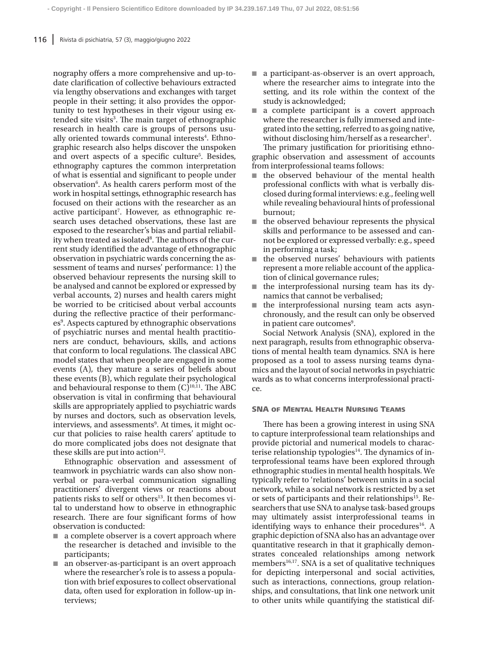nography offers a more comprehensive and up-todate clarification of collective behaviours extracted via lengthy observations and exchanges with target people in their setting; it also provides the opportunity to test hypotheses in their vigour using extended site visits<sup>3</sup>. The main target of ethnographic research in health care is groups of persons usually oriented towards communal interests<sup>4</sup>. Ethnographic research also helps discover the unspoken and overt aspects of a specific culture<sup>5</sup>. Besides, ethnography captures the common interpretation of what is essential and significant to people under observation<sup>6</sup>. As health carers perform most of the work in hospital settings, ethnographic research has focused on their actions with the researcher as an active participant<sup>7</sup>. However, as ethnographic research uses detached observations, these last are exposed to the researcher's bias and partial reliability when treated as isolated<sup>8</sup>. The authors of the current study identified the advantage of ethnographic observation in psychiatric wards concerning the assessment of teams and nurses' performance: 1) the observed behaviour represents the nursing skill to be analysed and cannot be explored or expressed by verbal accounts, 2) nurses and health carers might be worried to be criticised about verbal accounts during the reflective practice of their performances<sup>9</sup>. Aspects captured by ethnographic observations of psychiatric nurses and mental health practitioners are conduct, behaviours, skills, and actions that conform to local regulations. The classical ABC model states that when people are engaged in some events (A), they mature a series of beliefs about these events (B), which regulate their psychological and behavioural response to them  $(C)^{10,11}$ . The ABC observation is vital in confirming that behavioural skills are appropriately applied to psychiatric wards by nurses and doctors, such as observation levels, interviews, and assessments<sup>9</sup>. At times, it might occur that policies to raise health carers' aptitude to do more complicated jobs does not designate that these skills are put into action<sup>12</sup>.

Ethnographic observation and assessment of teamwork in psychiatric wards can also show nonverbal or para-verbal communication signalling practitioners' divergent views or reactions about patients risks to self or others<sup>13</sup>. It then becomes vital to understand how to observe in ethnographic research. There are four significant forms of how observation is conducted:

- a complete observer is a covert approach where the researcher is detached and invisible to the participants;
- an observer-as-participant is an overt approach where the researcher's role is to assess a population with brief exposures to collect observational data, often used for exploration in follow-up interviews;
- a participant-as-observer is an overt approach, where the researcher aims to integrate into the setting, and its role within the context of the study is acknowledged;
- a complete participant is a covert approach where the researcher is fully immersed and integrated into the setting, referred to as going native, without disclosing him/herself as a researcher<sup>1</sup>. The primary justification for prioritising ethno-

graphic observation and assessment of accounts from interprofessional teams follows:

- the observed behaviour of the mental health professional conflicts with what is verbally disclosed during formal interviews: e.g., feeling well while revealing behavioural hints of professional burnout;
- the observed behaviour represents the physical skills and performance to be assessed and cannot be explored or expressed verbally: e.g., speed in performing a task;
- the observed nurses' behaviours with patients represent a more reliable account of the application of clinical governance rules;
- the interprofessional nursing team has its dynamics that cannot be verbalised;
- the interprofessional nursing team acts asynchronously, and the result can only be observed in patient care outcomes<sup>9</sup>.

Social Network Analysis (SNA), explored in the next paragraph, results from ethnographic observations of mental health team dynamics. SNA is here proposed as a tool to assess nursing teams dynamics and the layout of social networks in psychiatric wards as to what concerns interprofessional practice.

# SNA of Mental Health Nursing Teams

There has been a growing interest in using SNA to capture interprofessional team relationships and provide pictorial and numerical models to characterise relationship typologies $14$ . The dynamics of interprofessional teams have been explored through ethnographic studies in mental health hospitals. We typically refer to 'relations' between units in a social network, while a social network is restricted by a set or sets of participants and their relationships<sup>15</sup>. Researchers that use SNA to analyse task-based groups may ultimately assist interprofessional teams in identifying ways to enhance their procedures<sup>16</sup>. A graphic depiction of SNA also has an advantage over quantitative research in that it graphically demonstrates concealed relationships among network members<sup>16,17</sup>. SNA is a set of qualitative techniques for depicting interpersonal and social activities, such as interactions, connections, group relationships, and consultations, that link one network unit to other units while quantifying the statistical dif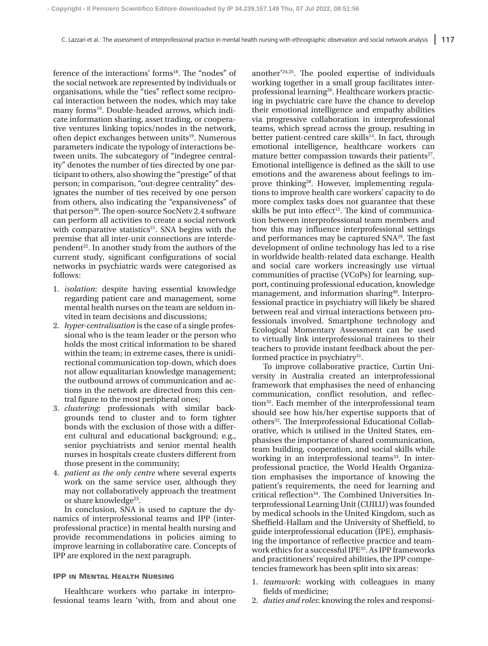ference of the interactions' forms<sup>18</sup>. The "nodes" of the social network are represented by individuals or organisations, while the "ties" reflect some reciprocal interaction between the nodes, which may take many forms<sup>19</sup>. Double-headed arrows, which indicate information sharing, asset trading, or cooperative ventures linking topics/nodes in the network, often depict exchanges between units<sup>19</sup>. Numerous parameters indicate the typology of interactions between units. The subcategory of "indegree centrality" denotes the number of ties directed by one participant to others, also showing the "prestige" of that person; in comparison, "out-degree centrality" designates the number of ties received by one person from others, also indicating the "expansiveness" of that person<sup>20</sup>. The open-source SocNetv 2.4 software can perform all activities to create a social network with comparative statistics $21$ . SNA begins with the premise that all inter-unit connections are interdependent<sup>22</sup>. In another study from the authors of the current study, significant configurations of social networks in psychiatric wards were categorised as follows:

- 1. *isolation*: despite having essential knowledge regarding patient care and management, some mental health nurses on the team are seldom invited in team decisions and discussions;
- 2. *hyper-centralisation* is the case of a single professional who is the team leader or the person who holds the most critical information to be shared within the team; in extreme cases, there is unidirectional communication top-down, which does not allow equalitarian knowledge management; the outbound arrows of communication and actions in the network are directed from this central figure to the most peripheral ones;
- 3. *clustering*: professionals with similar backgrounds tend to cluster and to form tighter bonds with the exclusion of those with a different cultural and educational background; e.g., senior psychiatrists and senior mental health nurses in hospitals create clusters different from those present in the community;
- 4. *patient as the only centre* where several experts work on the same service user, although they may not collaboratively approach the treatment or share knowledge $^{23}$ .

In conclusion, SNA is used to capture the dynamics of interprofessional teams and IPP (interprofessional practice) in mental health nursing and provide recommendations in policies aiming to improve learning in collaborative care. Concepts of IPP are explored in the next paragraph.

#### IPP in Mental Health Nursing

Healthcare workers who partake in interprofessional teams learn 'with, from and about one another'24,25. The pooled expertise of individuals working together in a small group facilitates interprofessional learning<sup>26</sup>. Healthcare workers practicing in psychiatric care have the chance to develop their emotional intelligence and empathy abilities via progressive collaboration in interprofessional teams, which spread across the group, resulting in better patient-centred care skills $14$ . In fact, through emotional intelligence, healthcare workers can mature better compassion towards their patients<sup>27</sup>. Emotional intelligence is defined as the skill to use emotions and the awareness about feelings to improve thinking<sup>28</sup>. However, implementing regulations to improve health care workers' capacity to do more complex tasks does not guarantee that these skills be put into effect<sup>12</sup>. The kind of communication between interprofessional team members and how this may influence interprofessional settings and performances may be captured SNA29. The fast development of online technology has led to a rise in worldwide health-related data exchange. Health and social care workers increasingly use virtual communities of practise (VCoPs) for learning, support, continuing professional education, knowledge management, and information sharing<sup>30</sup>. Interprofessional practice in psychiatry will likely be shared between real and virtual interactions between professionals involved. Smartphone technology and Ecological Momentary Assessment can be used to virtually link interprofessional trainees to their teachers to provide instant feedback about the performed practice in psychiatry $31$ .

To improve collaborative practice, Curtin University in Australia created an interprofessional framework that emphasises the need of enhancing communication, conflict resolution, and reflection32. Each member of the interprofessional team should see how his/her expertise supports that of others<sup>32</sup>. The Interprofessional Educational Collaborative, which is utilised in the United States, emphasises the importance of shared communication, team building, cooperation, and social skills while working in an interprofessional teams<sup>33</sup>. In interprofessional practice, the World Health Organization emphasises the importance of knowing the patient's requirements, the need for learning and critical reflection<sup>34</sup>. The Combined Universities Interprofessional Learning Unit (CUILU) was founded by medical schools in the United Kingdom, such as Sheffield-Hallam and the University of Sheffield, to guide interprofessional education (IPE), emphasising the importance of reflective practice and teamwork ethics for a successful IPE35. As IPP frameworks and practitioners' required abilities, the IPP competencies framework has been split into six areas:

- 1. *teamwork*: working with colleagues in many fields of medicine;
- 2. *duties and roles*: knowing the roles and responsi-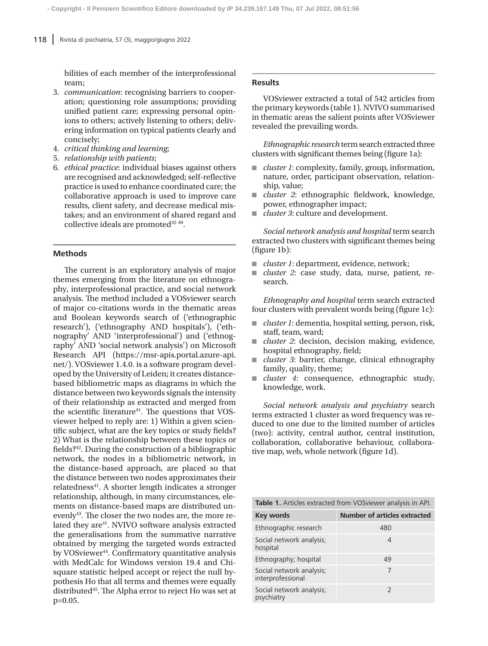bilities of each member of the interprofessional team;

- 3. *communication*: recognising barriers to cooperation; questioning role assumptions; providing unified patient care; expressing personal opinions to others; actively listening to others; delivering information on typical patients clearly and concisely;
- 4. *critical thinking and learning*;
- 5. *relationship with patients*;
- 6. *ethical practice*: individual biases against others are recognised and acknowledged; self-reflective practice is used to enhance coordinated care; the collaborative approach is used to improve care results, client safety, and decrease medical mistakes; and an environment of shared regard and collective ideals are promoted<sup>32-40</sup>.

# **Methods**

The current is an exploratory analysis of major themes emerging from the literature on ethnography, interprofessional practice, and social network analysis. The method included a VOSviewer search of major co-citations words in the thematic areas and Boolean keywords search of ('ethnographic research'), ('ethnography AND hospitals'), ('ethnography' AND 'interprofessional') and ('ethnography' AND 'social network analysis') on Microsoft Research API (https://msr-apis.portal.azure-api. net/). VOSviewer 1.4.0. is a software program developed by the University of Leiden; it creates distancebased bibliometric maps as diagrams in which the distance between two keywords signals the intensity of their relationship as extracted and merged from the scientific literature<sup>41</sup>. The questions that VOSviewer helped to reply are: 1) Within a given scientific subject, what are the key topics or study fields? 2) What is the relationship between these topics or fields?42. During the construction of a bibliographic network, the nodes in a bibliometric network, in the distance-based approach, are placed so that the distance between two nodes approximates their relatedness<sup>41</sup>. A shorter length indicates a stronger relationship, although, in many circumstances, elements on distance-based maps are distributed unevenly<sup>43</sup>. The closer the two nodes are, the more related they are<sup>41</sup>. NVIVO software analysis extracted the generalisations from the summative narrative obtained by merging the targeted words extracted by VOSviewer<sup>44</sup>. Confirmatory quantitative analysis with MedCalc for Windows version 19.4 and Chisquare statistic helped accept or reject the null hypothesis Ho that all terms and themes were equally distributed45. The Alpha error to reject Ho was set at p=0.05.

# **Results**

VOSviewer extracted a total of 542 articles from the primary keywords (table 1). NVIVO summarised in thematic areas the salient points after VOSviewer revealed the prevailing words.

*Ethnographic research* term search extracted three clusters with significant themes being (figure 1a):

- *cluster 1*: complexity, family, group, information, nature, order, participant observation, relationship, value;
- *cluster 2*: ethnographic fieldwork, knowledge, power, ethnographer impact;
- *cluster 3*: culture and development.

*Social network analysis and hospital* term search extracted two clusters with significant themes being (figure 1b):

- *cluster 1*: department, evidence, network;
- *cluster 2*: case study, data, nurse, patient, research.

*Ethnography and hospital* term search extracted four clusters with prevalent words being (figure 1c):

- *cluster 1*: dementia, hospital setting, person, risk, staff, team, ward;
- *cluster 2*: decision, decision making, evidence, hospital ethnography, field;
- *cluster 3*: barrier, change, clinical ethnography family, quality, theme;
- *cluster* 4: consequence, ethnographic study, knowledge, work.

*Social network analysis and psychiatry* search terms extracted 1 cluster as word frequency was reduced to one due to the limited number of articles (two): activity, central author, central institution, collaboration, collaborative behaviour, collaborative map, web, whole network (figure 1d).

| Table 1. Articles extracted from VOSviewer analysis in API. |                                     |  |
|-------------------------------------------------------------|-------------------------------------|--|
| Key words                                                   | <b>Number of articles extracted</b> |  |
| Ethnographic research                                       | 480                                 |  |
| Social network analysis;<br>hospital                        | 4                                   |  |
| Ethnography; hospital                                       | 49                                  |  |
| Social network analysis;<br>interprofessional               | 7                                   |  |
| Social network analysis;<br>psychiatry                      | 2                                   |  |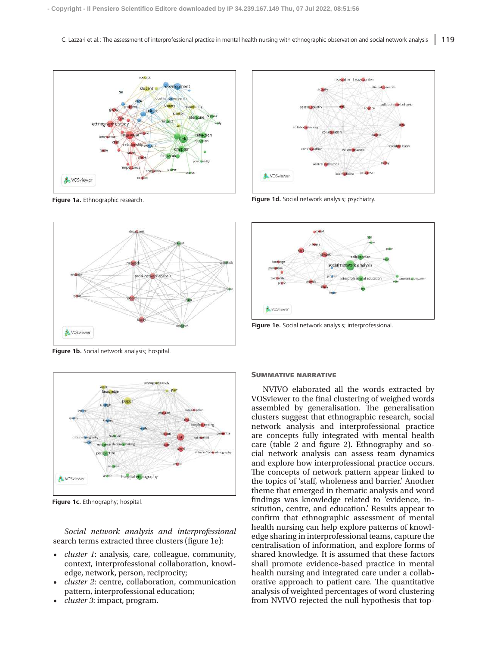

**Figure 1a.** Ethnographic research.



**Figure 1b.** Social network analysis; hospital.



**Figure 1c.** Ethnography: hospital.

*Social network analysis and interprofessional* search terms extracted three clusters (figure 1e):

- *• cluster 1*: analysis, care, colleague, community, context, interprofessional collaboration, knowledge, network, person, reciprocity;
- *• cluster 2*: centre, collaboration, communication pattern, interprofessional education;
- *• cluster 3*: impact, program.



**Figure 1d.** Social network analysis; psychiatry.



**Figure 1e.** Social network analysis; interprofessional.

# SUMMATIVE NARRATIVE

NVIVO elaborated all the words extracted by VOSviewer to the final clustering of weighed words assembled by generalisation. The generalisation clusters suggest that ethnographic research, social network analysis and interprofessional practice are concepts fully integrated with mental health care (table 2 and figure 2). Ethnography and social network analysis can assess team dynamics and explore how interprofessional practice occurs. The concepts of network pattern appear linked to the topics of 'staff, wholeness and barrier.' Another theme that emerged in thematic analysis and word findings was knowledge related to 'evidence, institution, centre, and education.' Results appear to confirm that ethnographic assessment of mental health nursing can help explore patterns of knowledge sharing in interprofessional teams, capture the centralisation of information, and explore forms of shared knowledge. It is assumed that these factors shall promote evidence-based practice in mental health nursing and integrated care under a collaborative approach to patient care. The quantitative analysis of weighted percentages of word clustering from NVIVO rejected the null hypothesis that top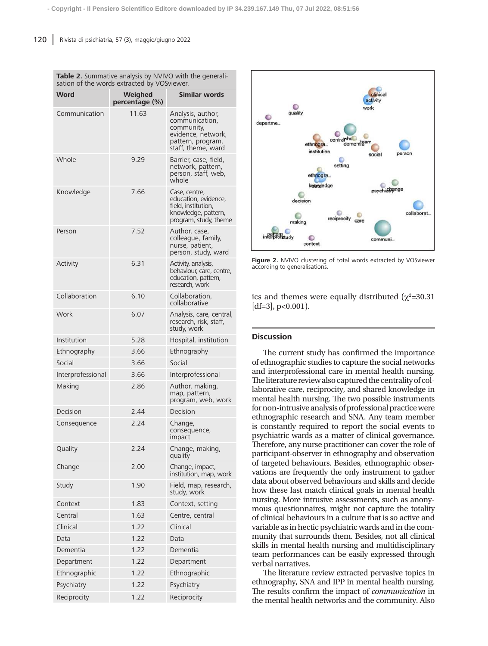**Table 2.** Summative analysis by NVIVO with the generali-

| sation of the words extracted by VOSviewer. |                           |                                                                                                                    |  |
|---------------------------------------------|---------------------------|--------------------------------------------------------------------------------------------------------------------|--|
| <b>Word</b>                                 | Weighed<br>percentage (%) | <b>Similar words</b>                                                                                               |  |
| Communication                               | 11.63                     | Analysis, author,<br>communication,<br>community,<br>evidence, network,<br>pattern, program,<br>staff, theme, ward |  |
| Whole                                       | 9.29                      | Barrier, case, field,<br>network, pattern,<br>person, staff, web,<br>whole                                         |  |
| Knowledge                                   | 7.66                      | Case, centre,<br>education, evidence,<br>field, institution,<br>knowledge, pattern,<br>program, study, theme       |  |
| Person                                      | 7.52                      | Author, case,<br>colleague, family,<br>nurse, patient,<br>person, study, ward                                      |  |
| Activity                                    | 6.31                      | Activity, analysis,<br>behaviour, care, centre,<br>education, pattern,<br>research, work                           |  |
| Collaboration                               | 6.10                      | Collaboration,<br>collaborative                                                                                    |  |
| Work                                        | 6.07                      | Analysis, care, central,<br>research, risk, staff,<br>study, work                                                  |  |
| Institution                                 | 5.28                      | Hospital, institution                                                                                              |  |
| Ethnography                                 | 3.66                      | Ethnography                                                                                                        |  |
| Social                                      | 3.66                      | Social                                                                                                             |  |
| Interprofessional                           | 3.66                      | Interprofessional                                                                                                  |  |
| Making                                      | 2.86                      | Author, making,<br>map, pattern,<br>program, web, work                                                             |  |
| Decision                                    | 2.44                      | Decision                                                                                                           |  |
| Consequence                                 | 2.24                      | Change,<br>consequence,<br>impact                                                                                  |  |
| Quality                                     | 2.24                      | Change, making,<br>quality                                                                                         |  |
| Change                                      | 2.00                      | Change, impact,<br>institution, map, work                                                                          |  |
| Study                                       | 1.90                      | Field, map, research,<br>study, work                                                                               |  |
| Context                                     | 1.83                      | Context, setting                                                                                                   |  |
| Central                                     | 1.63                      | Centre, central                                                                                                    |  |
| Clinical                                    | 1.22                      | Clinical                                                                                                           |  |
| Data                                        | 1.22                      | Data                                                                                                               |  |
| Dementia                                    | 1.22                      | Dementia                                                                                                           |  |
| Department                                  | 1.22                      | Department                                                                                                         |  |
| Ethnographic                                | 1.22                      | Ethnographic                                                                                                       |  |
| Psychiatry                                  | 1.22                      | Psychiatry                                                                                                         |  |
| Reciprocity                                 | 1.22                      | Reciprocity                                                                                                        |  |



**Figure 2.** NVIVO clustering of total words extracted by VOSviewer according to generalisations.

ics and themes were equally distributed  $(\chi^2=30.31)$  $[df=3]$ , p<0.001).

# **Discussion**

The current study has confirmed the importance of ethnographic studies to capture the social networks and interprofessional care in mental health nursing. The literature review also captured the centrality of collaborative care, reciprocity, and shared knowledge in mental health nursing. The two possible instruments for non-intrusive analysis of professional practice were ethnographic research and SNA. Any team member is constantly required to report the social events to psychiatric wards as a matter of clinical governance. Therefore, any nurse practitioner can cover the role of participant-observer in ethnography and observation of targeted behaviours. Besides, ethnographic observations are frequently the only instrument to gather data about observed behaviours and skills and decide how these last match clinical goals in mental health nursing. More intrusive assessments, such as anonymous questionnaires, might not capture the totality of clinical behaviours in a culture that is so active and variable as in hectic psychiatric wards and in the community that surrounds them. Besides, not all clinical skills in mental health nursing and multidisciplinary team performances can be easily expressed through verbal narratives.

The literature review extracted pervasive topics in ethnography, SNA and IPP in mental health nursing. The results confirm the impact of *communication* in the mental health networks and the community. Also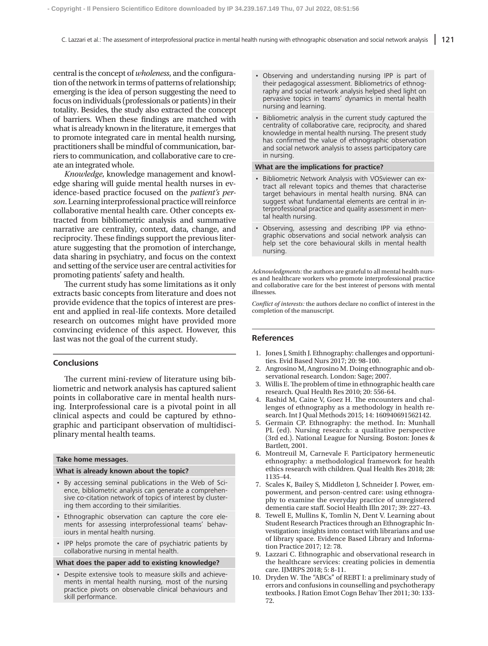central is the concept of *wholeness*, and the configuration of the network in terms of patterns of relationship; emerging is the idea of person suggesting the need to focus on individuals (professionals or patients) in their totality. Besides, the study also extracted the concept of barriers. When these findings are matched with what is already known in the literature, it emerges that to promote integrated care in mental health nursing, practitioners shall be mindful of communication, barriers to communication, and collaborative care to create an integrated whole.

*Knowledge*, knowledge management and knowledge sharing will guide mental health nurses in evidence-based practice focused on the *patient's person*. Learning interprofessional practice will reinforce collaborative mental health care. Other concepts extracted from bibliometric analysis and summative narrative are centrality, context, data, change, and reciprocity. These findings support the previous literature suggesting that the promotion of interchange, data sharing in psychiatry, and focus on the context and setting of the service user are central activities for promoting patients' safety and health.

The current study has some limitations as it only extracts basic concepts from literature and does not provide evidence that the topics of interest are present and applied in real-life contexts. More detailed research on outcomes might have provided more convincing evidence of this aspect. However, this last was not the goal of the current study.

# **Conclusions**

The current mini-review of literature using bibliometric and network analysis has captured salient points in collaborative care in mental health nursing. Interprofessional care is a pivotal point in all clinical aspects and could be captured by ethnographic and participant observation of multidisciplinary mental health teams.

#### **Take home messages.**

#### **What is already known about the topic?**

- By accessing seminal publications in the Web of Science, bibliometric analysis can generate a comprehensive co-citation network of topics of interest by clustering them according to their similarities.
- Ethnographic observation can capture the core elements for assessing interprofessional teams' behaviours in mental health nursing.
- IPP helps promote the care of psychiatric patients by collaborative nursing in mental health.

#### **What does the paper add to existing knowledge?**

• Despite extensive tools to measure skills and achievements in mental health nursing, most of the nursing practice pivots on observable clinical behaviours and skill performance.

- Observing and understanding nursing IPP is part of their pedagogical assessment. Bibliometrics of ethnography and social network analysis helped shed light on pervasive topics in teams' dynamics in mental health nursing and learning.
- Bibliometric analysis in the current study captured the centrality of collaborative care, reciprocity, and shared knowledge in mental health nursing. The present study has confirmed the value of ethnographic observation and social network analysis to assess participatory care in nursing.

#### **What are the implications for practice?**

- Bibliometric Network Analysis with VOSviewer can extract all relevant topics and themes that characterise target behaviours in mental health nursing. BNA can suggest what fundamental elements are central in interprofessional practice and quality assessment in mental health nursing.
- Observing, assessing and describing IPP via ethnographic observations and social network analysis can help set the core behavioural skills in mental health nursing.

*Acknowledgments:* the authors are grateful to all mental health nurses and healthcare workers who promote interprofessional practice and collaborative care for the best interest of persons with mental illnesses.

*Conflict of interests:* the authors declare no conflict of interest in the completion of the manuscript.

#### **References**

- 1. Jones J, Smith J. Ethnography: challenges and opportunities. Evid Based Nurs 2017; 20: 98-100.
- 2. Angrosino M, Angrosino M. Doing ethnographic and observational research. London: Sage; 2007.
- 3. Willis E. The problem of time in ethnographic health care research. Qual Health Res 2010; 20: 556-64.
- 4. Rashid M, Caine V, Goez H. The encounters and challenges of ethnography as a methodology in health research. Int J Qual Methods 2015; 14: 160940691562142.
- 5. Germain CP. Ethnography: the method. In: Munhall PL (ed). Nursing research: a qualitative perspective (3rd ed.). National League for Nursing. Boston: Jones & Bartlett, 2001.
- 6. Montreuil M, Carnevale F. Participatory hermeneutic ethnography: a methodological framework for health ethics research with children. Qual Health Res 2018; 28: 1135-44.
- 7. Scales K, Bailey S, Middleton J, Schneider J. Power, empowerment, and person-centred care: using ethnography to examine the everyday practice of unregistered dementia care staff. Sociol Health Illn 2017; 39: 227-43.
- 8. Tewell E, Mullins K, Tomlin N, Dent V. Learning about Student Research Practices through an Ethnographic Investigation: insights into contact with librarians and use of library space. Evidence Based Library and Information Practice 2017; 12: 78.
- 9. Lazzari C. Ethnographic and observational research in the healthcare services: creating policies in dementia care. IJMRPS 2018; 5: 8-11.
- 10. Dryden W. The "ABCs" of REBT I: a preliminary study of errors and confusions in counselling and psychotherapy textbooks. J Ration Emot Cogn Behav Ther 2011; 30: 133- 72.